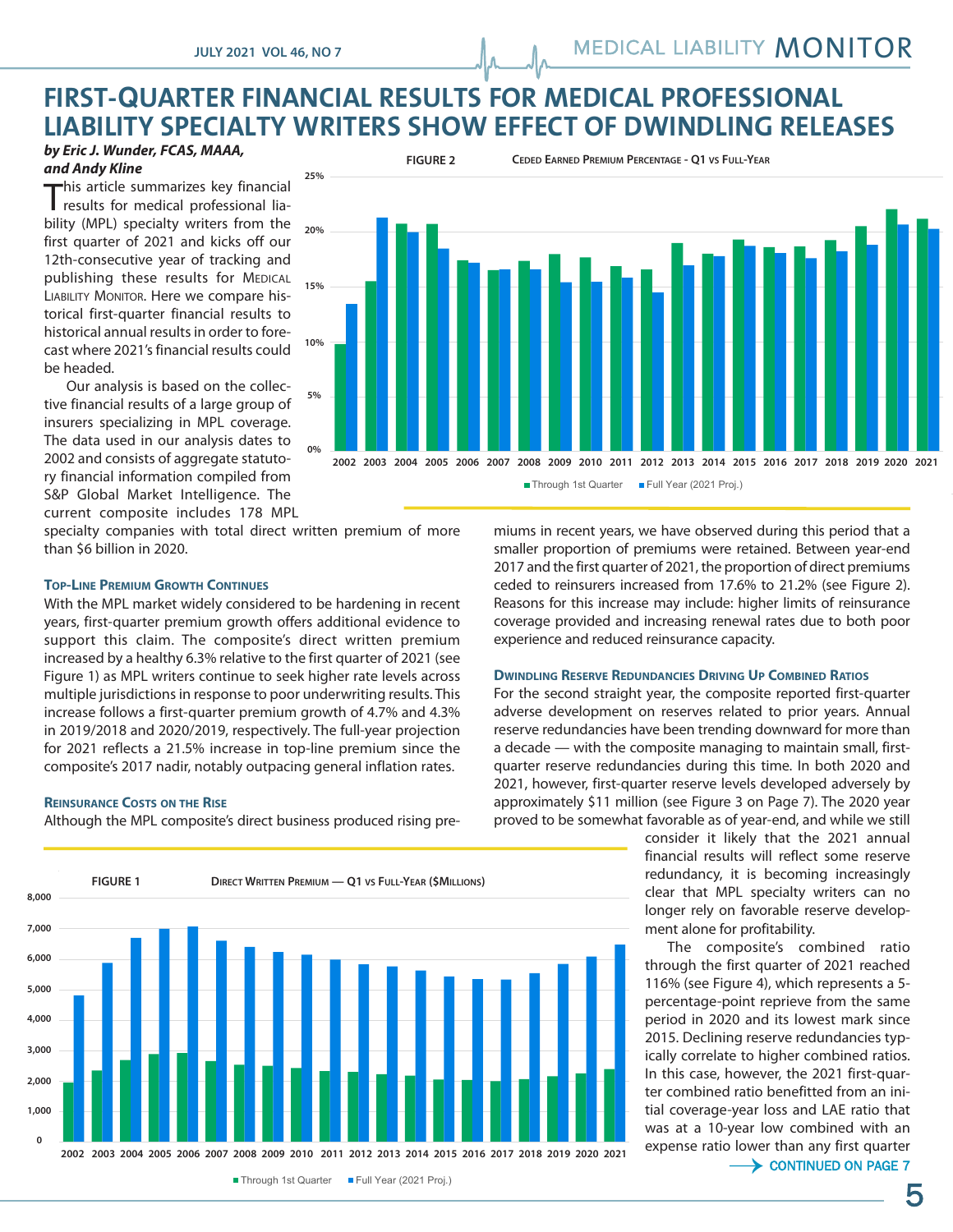# **FIRST-QUARTER FINANCIAL RESULTS FOR MEDICAL PROFESSIONAL LIABILITY SPECIALTY WRITERS SHOW EFFECT OF DWINDLING RELEASES**

#### *by Eric J. Wunder, FCAS, MAAA, and Andy Kline*

This article summarizes key financial<br>results for medical professional liaresults for medical professional liability (MPL) specialty writers from the first quarter of 2021 and kicks off our 12th-consecutive year of tracking and publishing these results for MEDICAL LIABILITY MONITOR. Here we compare his-**!'\$"""** torical first-quarter financial results to historical annual results in order to forecast where 2021's financial results could be headed.

ncaded:<br>Our analysis is based on the collective financial results of a large group of insurers specializing in MPL coverage. The data used in our analysis dates to 2002 and consists of aggregate statutory financial information compiled from S&P Global Market Intelligence. The current composite includes 178 MPL

specialty companies with total direct written premium of more than \$6 billion in 2020.

#### **TOP-LINE PREMIUM GROWTH CONTINUES**

With the MPL market widely considered to be hardening in recent years, first-quarter premium growth offers additional evidence to support this claim. The composite's direct written premium increased by a healthy 6.3% relative to the first quarter of 2021 (see Figure 1) as MPL writers continue to seek higher rate levels across multiple jurisdictions in response to poor underwriting results. This increase follows a first-quarter premium growth of 4.7% and 4.3% in 2019/2018 and 2020/2019, respectively. The full-year projection for 2021 reflects a 21.5% increase in top-line premium since the composite's 2017 nadir, notably outpacing general inflation rates.

#### **REINSURANCE COSTS ON THE RISE**

Although the MPL composite's direct business produced rising pre-**neming** pre-



miums in recent years, we have observed during this period that a smaller proportion of premiums were retained. Between year-end 2017 and the first quarter of 2021, the proportion of direct premiums ceded to reinsurers increased from 17.6% to 21.2% (see Figure 2). Reasons for this increase may include: higher limits of reinsurance coverage provided and increasing renewal rates due to both poor experience and reduced reinsurance capacity.

#### **DWINDLING RESERVE REDUNDANCIES DRIVING UP COMBINED RATIOS**

For the second straight year, the composite reported first-quarter adverse development on reserves related to prior years. Annual reserve redundancies have been trending downward for more than a decade — with the composite managing to maintain small, firstquarter reserve redundancies during this time. In both 2020 and 2021, however, first-quarter reserve levels developed adversely by approximately \$11 million (see Figure 3 on Page 7). The 2020 year proved to be somewhat favorable as of year-end, and while we still

consider it likely that the 2021 annual financial results will reflect some reserve redundancy, it is becoming increasingly clear that MPL specialty writers can no longer rely on favorable reserve development alone for profitability.

The composite's combined ratio through the first quarter of 2021 reached 116% (see Figure 4), which represents a 5 percentage-point reprieve from the same period in 2020 and its lowest mark since 2015. Declining reserve redundancies typically correlate to higher combined ratios. In this case, however, the 2021 first-quarter combined ratio benefitted from an initial coverage-year loss and LAE ratio that was at a 10-year low combined with an expense ratio lower than any first quarter<br>  $\longrightarrow$  CONTINUED ON PAGE 7